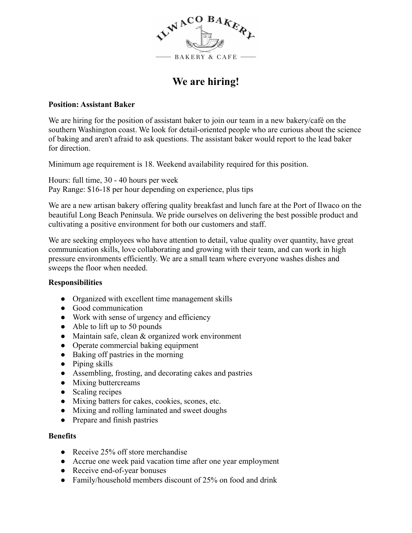

# **We are hiring!**

#### **Position: Assistant Baker**

We are hiring for the position of assistant baker to join our team in a new bakery/café on the southern Washington coast. We look for detail-oriented people who are curious about the science of baking and aren't afraid to ask questions. The assistant baker would report to the lead baker for direction.

Minimum age requirement is 18. Weekend availability required for this position.

Hours: full time, 30 - 40 hours per week Pay Range: \$16-18 per hour depending on experience, plus tips

We are a new artisan bakery offering quality breakfast and lunch fare at the Port of Ilwaco on the beautiful Long Beach Peninsula. We pride ourselves on delivering the best possible product and cultivating a positive environment for both our customers and staff.

We are seeking employees who have attention to detail, value quality over quantity, have great communication skills, love collaborating and growing with their team, and can work in high pressure environments efficiently. We are a small team where everyone washes dishes and sweeps the floor when needed.

### **Responsibilities**

- Organized with excellent time management skills
- Good communication
- Work with sense of urgency and efficiency
- $\bullet$  Able to lift up to 50 pounds
- Maintain safe, clean & organized work environment
- Operate commercial baking equipment
- Baking off pastries in the morning
- Piping skills
- Assembling, frosting, and decorating cakes and pastries
- Mixing buttercreams
- Scaling recipes
- Mixing batters for cakes, cookies, scones, etc.
- Mixing and rolling laminated and sweet doughs
- Prepare and finish pastries

#### **Benefits**

- Receive 25% off store merchandise
- Accrue one week paid vacation time after one year employment
- Receive end-of-year bonuses
- Family/household members discount of 25% on food and drink